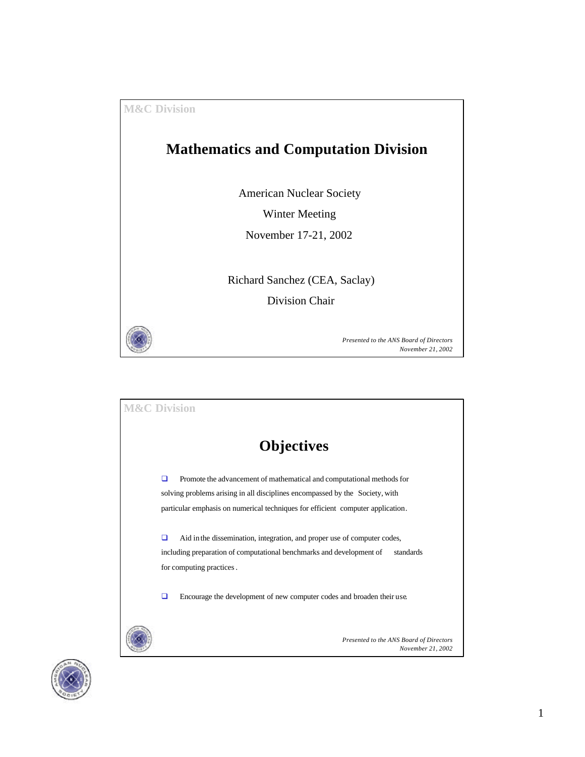



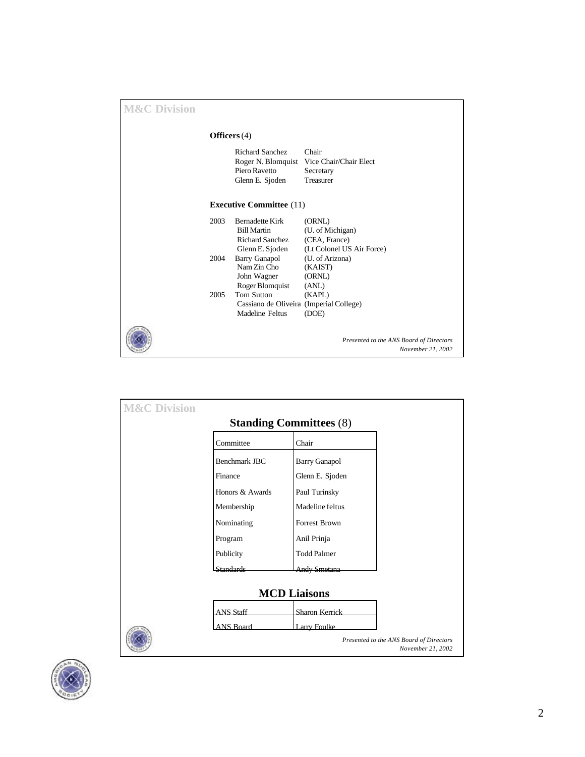| <b>M&amp;C Division</b> |      |                                                                                           |                                                                          |
|-------------------------|------|-------------------------------------------------------------------------------------------|--------------------------------------------------------------------------|
|                         |      | Officers $(4)$                                                                            |                                                                          |
|                         |      | <b>Richard Sanchez</b><br>Roger N. Blomquist<br>Piero Ravetto<br>Glenn E. Sjoden          | Chair<br>Vice Chair/Chair Elect<br>Secretary<br>Treasurer                |
|                         |      | <b>Executive Committee</b> (11)                                                           |                                                                          |
|                         | 2003 | <b>Bernadette Kirk</b><br><b>Bill Martin</b><br><b>Richard Sanchez</b><br>Glenn E. Sjoden | (ORNL)<br>(U. of Michigan)<br>(CEA, France)<br>(Lt Colonel US Air Force) |
|                         | 2004 | <b>Barry Ganapol</b><br>Nam Zin Cho<br>John Wagner<br>Roger Blomquist                     | (U. of Arizona)<br>(KAIST)<br>(ORNL)<br>(ANL)                            |
|                         | 2005 | <b>Tom Sutton</b><br>Cassiano de Oliveira (Imperial College)<br>Madeline Feltus           | (KAPL)<br>(DOE)                                                          |
|                         |      |                                                                                           | Presented to the ANS Board of Directors<br>November 21, 2002             |

| <b>M&amp;C Division</b>        |                  |                      |                                                              |  |  |
|--------------------------------|------------------|----------------------|--------------------------------------------------------------|--|--|
| <b>Standing Committees (8)</b> |                  |                      |                                                              |  |  |
|                                | Committee        | Chair                |                                                              |  |  |
|                                | Benchmark JBC    | <b>Barry Ganapol</b> |                                                              |  |  |
|                                | Finance          | Glenn E. Sjoden      |                                                              |  |  |
|                                | Honors & Awards  | Paul Turinsky        |                                                              |  |  |
|                                | Membership       | Madeline feltus      |                                                              |  |  |
|                                | Nominating       | <b>Forrest Brown</b> |                                                              |  |  |
|                                | Program          | Anil Prinja          |                                                              |  |  |
|                                | Publicity        | <b>Todd Palmer</b>   |                                                              |  |  |
|                                | <b>Standards</b> | Andy Smetana         |                                                              |  |  |
| <b>MCD Liaisons</b>            |                  |                      |                                                              |  |  |
|                                |                  |                      |                                                              |  |  |
|                                | <b>ANS Staff</b> | Sharon Kerrick       |                                                              |  |  |
|                                | <b>ANS Board</b> | <b>Larry Foulke</b>  | Presented to the ANS Board of Directors<br>November 21, 2002 |  |  |

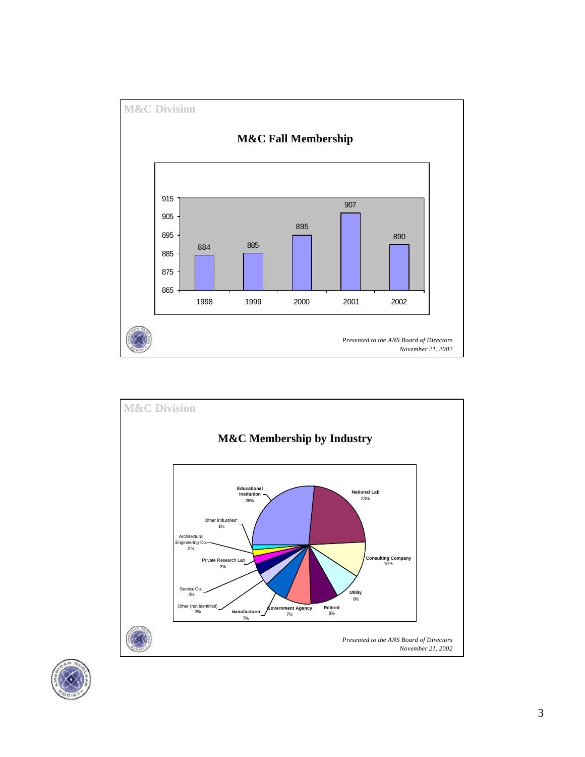



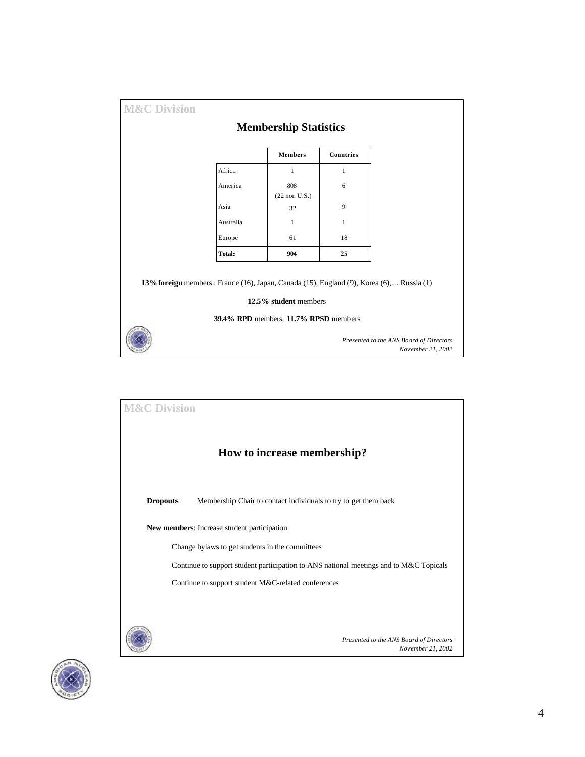|                                                                                            | <b>Membership Statistics</b>          |                  |                                                              |
|--------------------------------------------------------------------------------------------|---------------------------------------|------------------|--------------------------------------------------------------|
|                                                                                            | <b>Members</b>                        | <b>Countries</b> |                                                              |
| Africa                                                                                     | 1                                     | 1                |                                                              |
| America                                                                                    | 808<br>$(22$ non U.S.)                | 6                |                                                              |
| Asia                                                                                       | 32                                    | 9                |                                                              |
| Australia                                                                                  | $\mathbf{1}$                          | $\mathbf{1}$     |                                                              |
| Europe                                                                                     | 61                                    | 18               |                                                              |
| Total:                                                                                     | 904                                   | 25               |                                                              |
| 13% foreign members : France (16), Japan, Canada (15), England (9), Korea (6),, Russia (1) | 12.5% student members                 |                  |                                                              |
|                                                                                            | 39.4% RPD members, 11.7% RPSD members |                  |                                                              |
|                                                                                            |                                       |                  | Presented to the ANS Board of Directors<br>November 21, 2002 |



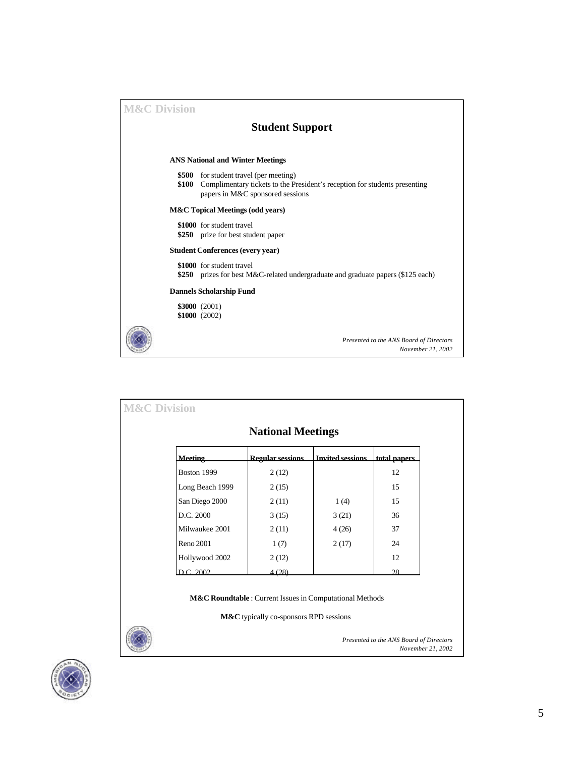| <b>M&amp;C Division</b> |                                             |                                                                                                                                                    |  |  |  |  |  |
|-------------------------|---------------------------------------------|----------------------------------------------------------------------------------------------------------------------------------------------------|--|--|--|--|--|
|                         |                                             | <b>Student Support</b>                                                                                                                             |  |  |  |  |  |
|                         |                                             | <b>ANS National and Winter Meetings</b>                                                                                                            |  |  |  |  |  |
|                         | \$500<br>\$100                              | for student travel (per meeting)<br>Complimentary tickets to the President's reception for students presenting<br>papers in M&C sponsored sessions |  |  |  |  |  |
|                         | <b>M&amp;C</b> Topical Meetings (odd years) |                                                                                                                                                    |  |  |  |  |  |
|                         |                                             | \$1000 for student travel<br>\$250 prize for best student paper                                                                                    |  |  |  |  |  |
|                         |                                             | <b>Student Conferences (every year)</b>                                                                                                            |  |  |  |  |  |
|                         | \$250                                       | \$1000 for student travel<br>prizes for best M&C-related undergraduate and graduate papers (\$125 each)                                            |  |  |  |  |  |
|                         |                                             | <b>Dannels Scholarship Fund</b>                                                                                                                    |  |  |  |  |  |
|                         |                                             | \$3000 (2001)<br>\$1000 (2002)                                                                                                                     |  |  |  |  |  |
|                         |                                             | Presented to the ANS Board of Directors<br>November 21, 2002                                                                                       |  |  |  |  |  |

|                 | <b>National Meetings</b> |                         |              |
|-----------------|--------------------------|-------------------------|--------------|
| <b>Meeting</b>  | <b>Regular sessions</b>  | <b>Invited sessions</b> | total papers |
| Boston 1999     | 2(12)                    |                         | 12           |
| Long Beach 1999 | 2(15)                    |                         | 15           |
| San Diego 2000  | 2(11)                    | 1(4)                    | 15           |
| D.C. 2000       | 3(15)                    | 3(21)                   | 36           |
| Milwaukee 2001  | 2(11)                    | 4(26)                   | 37           |
| Reno 2001       | 1(7)                     | 2(17)                   | 24           |
| Hollywood 2002  | 2(12)                    |                         | 12           |
| D.C. 2002       | 4(28)                    |                         | 28           |

**M&C** typically co-sponsors RPD sessions



*Presented to the ANS Board of Directors November 21, 2002*

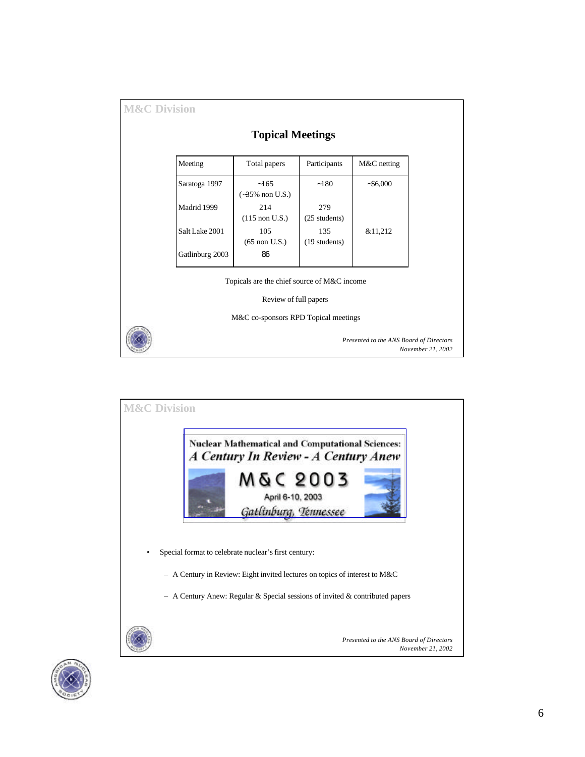| Meeting         | Total papers                                                         | Participants         | M&C netting |
|-----------------|----------------------------------------------------------------------|----------------------|-------------|
| Saratoga 1997   | $-165$<br>$(-35\% \text{ non U.S.})$                                 | $-180$               | $-$ \$6,000 |
| Madrid 1999     | 214<br>$(115 \text{ non } U.S.)$                                     | 279<br>(25 students) |             |
| Salt Lake 2001  | 105<br>$(65$ non U.S.)                                               | 135<br>(19 students) | &11,212     |
| Gatlinburg 2003 | 86                                                                   |                      |             |
|                 | Topicals are the chief source of M&C income<br>Review of full papers |                      |             |
|                 | M&C co-sponsors RPD Topical meetings                                 |                      |             |



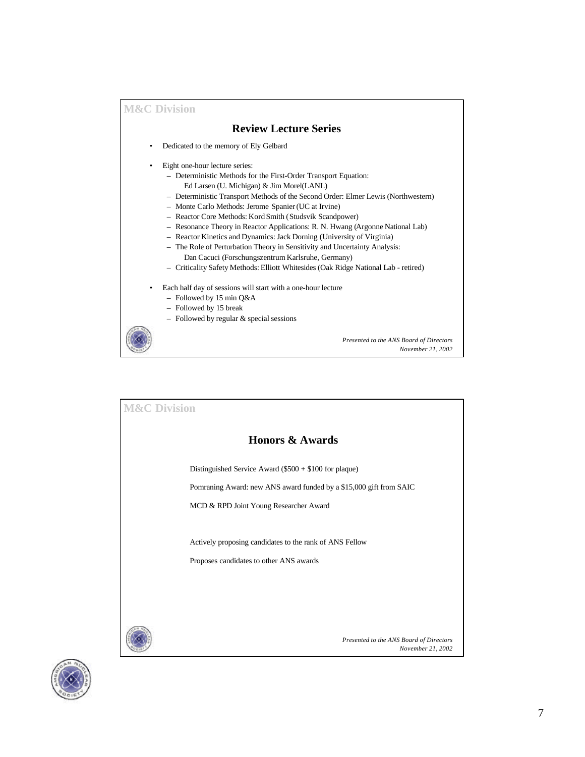## **Review Lecture Series**

- Dedicated to the memory of Ely Gelbard
- Eight one-hour lecture series:
	- Deterministic Methods for the First-Order Transport Equation: Ed Larsen (U. Michigan) & Jim Morel(LANL)
	- Deterministic Transport Methods of the Second Order: Elmer Lewis (Northwestern)
	- Monte Carlo Methods: Jerome Spanier (UC at Irvine)
	- Reactor Core Methods: Kord Smith (Studsvik Scandpower)
	- Resonance Theory in Reactor Applications: R. N. Hwang (Argonne National Lab)
	- Reactor Kinetics and Dynamics: Jack Dorning (University of Virginia)
	- The Role of Perturbation Theory in Sensitivity and Uncertainty Analysis:
		- Dan Cacuci (Forschungszentrum Karlsruhe, Germany)
	- Criticality Safety Methods: Elliott Whitesides (Oak Ridge National Lab retired)

*Presented to the ANS Board of Directors*

*November 21, 2002*

- Each half day of sessions will start with a one-hour lecture
	- Followed by 15 min Q&A
	- Followed by 15 break
	- Followed by regular & special sessions



*Presented to the ANS Board of Directors November 21, 2002* **M&C Division Honors & Awards** Distinguished Service Award (\$500 + \$100 for plaque) Pomraning Award: new ANS award funded by a \$15,000 gift from SAIC MCD & RPD Joint Young Researcher Award Actively proposing candidates to the rank of ANS Fellow Proposes candidates to other ANS awards